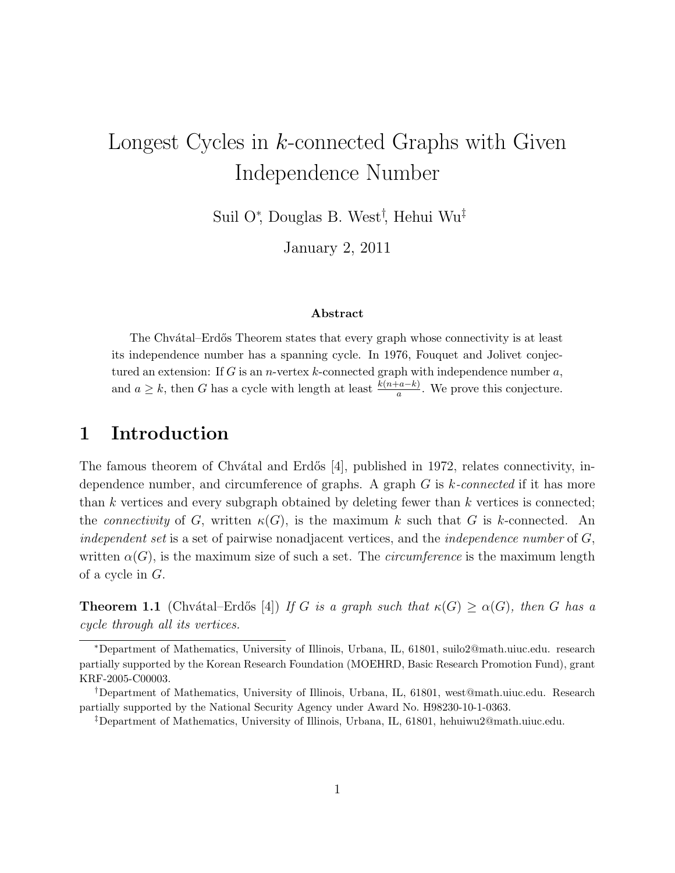# Longest Cycles in *k*-connected Graphs with Given Independence Number

Suil O<sup>∗</sup> , Douglas B. West† , Hehui Wu‡

January 2, 2011

#### Abstract

The Chvátal–Erdős Theorem states that every graph whose connectivity is at least its independence number has a spanning cycle. In 1976, Fouquet and Jolivet conjectured an extension: If G is an n-vertex k-connected graph with independence number  $a$ , and  $a \geq k$ , then G has a cycle with length at least  $\frac{k(n+a-k)}{a}$ . We prove this conjecture.

### 1 Introduction

The famous theorem of Chvátal and Erdős [4], published in 1972, relates connectivity, independence number, and circumference of graphs. A graph G is k*-connected* if it has more than  $k$  vertices and every subgraph obtained by deleting fewer than  $k$  vertices is connected; the *connectivity* of G, written  $\kappa(G)$ , is the maximum k such that G is k-connected. An *independent set* is a set of pairwise nonadjacent vertices, and the *independence number* of G, written  $\alpha(G)$ , is the maximum size of such a set. The *circumference* is the maximum length of a cycle in G.

**Theorem 1.1** (Chvátal–Erdős [4]) *If* G *is a graph such that*  $\kappa(G) \geq \alpha(G)$ *, then* G *has a cycle through all its vertices.*

<sup>∗</sup>Department of Mathematics, University of Illinois, Urbana, IL, 61801, suilo2@math.uiuc.edu. research partially supported by the Korean Research Foundation (MOEHRD, Basic Research Promotion Fund), grant KRF-2005-C00003.

<sup>†</sup>Department of Mathematics, University of Illinois, Urbana, IL, 61801, west@math.uiuc.edu. Research partially supported by the National Security Agency under Award No. H98230-10-1-0363.

<sup>‡</sup>Department of Mathematics, University of Illinois, Urbana, IL, 61801, hehuiwu2@math.uiuc.edu.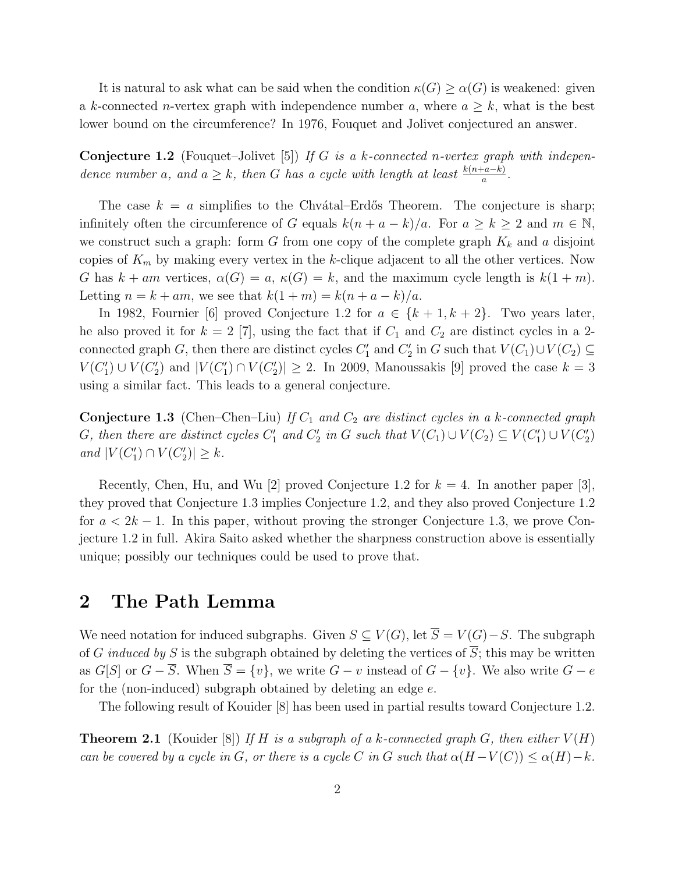It is natural to ask what can be said when the condition  $\kappa(G) \geq \alpha(G)$  is weakened: given a k-connected n-vertex graph with independence number a, where  $a \geq k$ , what is the best lower bound on the circumference? In 1976, Fouquet and Jolivet conjectured an answer.

Conjecture 1.2 (Fouquet–Jolivet [5]) *If* G *is a* k*-connected* n*-vertex graph with independence number* a, and  $a \geq k$ , then G has a cycle with length at least  $\frac{k(n+a-k)}{a}$ .

The case  $k = a$  simplifies to the Chvatal–Erdős Theorem. The conjecture is sharp; infinitely often the circumference of G equals  $k(n + a - k)/a$ . For  $a \ge k \ge 2$  and  $m \in \mathbb{N}$ , we construct such a graph: form G from one copy of the complete graph  $K_k$  and a disjoint copies of  $K_m$  by making every vertex in the k-clique adjacent to all the other vertices. Now G has  $k + am$  vertices,  $\alpha(G) = a$ ,  $\kappa(G) = k$ , and the maximum cycle length is  $k(1 + m)$ . Letting  $n = k + am$ , we see that  $k(1 + m) = k(n + a - k)/a$ .

In 1982, Fournier [6] proved Conjecture 1.2 for  $a \in \{k+1, k+2\}$ . Two years later, he also proved it for  $k = 2$  [7], using the fact that if  $C_1$  and  $C_2$  are distinct cycles in a 2connected graph G, then there are distinct cycles  $C'_1$  and  $C'_2$  in G such that  $V(C_1) \cup V(C_2) \subseteq$  $V(C'_1) \cup V(C'_2)$  and  $|V(C'_1) \cap V(C'_2)| \geq 2$ . In 2009, Manoussakis [9] proved the case  $k = 3$ using a similar fact. This leads to a general conjecture.

**Conjecture 1.3** (Chen–Chen–Liu) If  $C_1$  and  $C_2$  are distinct cycles in a k-connected graph G, then there are distinct cycles  $C'_1$  and  $C'_2$  in G such that  $V(C_1) \cup V(C_2) \subseteq V(C'_1) \cup V(C'_2)$ *and*  $|V(C'_1) \cap V(C'_2)| \geq k$ *.* 

Recently, Chen, Hu, and Wu [2] proved Conjecture 1.2 for  $k = 4$ . In another paper [3], they proved that Conjecture 1.3 implies Conjecture 1.2, and they also proved Conjecture 1.2 for  $a < 2k - 1$ . In this paper, without proving the stronger Conjecture 1.3, we prove Conjecture 1.2 in full. Akira Saito asked whether the sharpness construction above is essentially unique; possibly our techniques could be used to prove that.

#### 2 The Path Lemma

We need notation for induced subgraphs. Given  $S \subseteq V(G)$ , let  $\overline{S} = V(G) - S$ . The subgraph of G *induced by* S is the subgraph obtained by deleting the vertices of  $\overline{S}$ ; this may be written as  $G[S]$  or  $G - \overline{S}$ . When  $\overline{S} = \{v\}$ , we write  $G - v$  instead of  $G - \{v\}$ . We also write  $G - e$ for the (non-induced) subgraph obtained by deleting an edge  $e$ .

The following result of Kouider [8] has been used in partial results toward Conjecture 1.2.

**Theorem 2.1** (Kouider [8]) If H is a subgraph of a k-connected graph G, then either  $V(H)$ *can be covered by a cycle in* G, or there is a cycle C in G such that  $\alpha(H-V(C)) \leq \alpha(H) - k$ .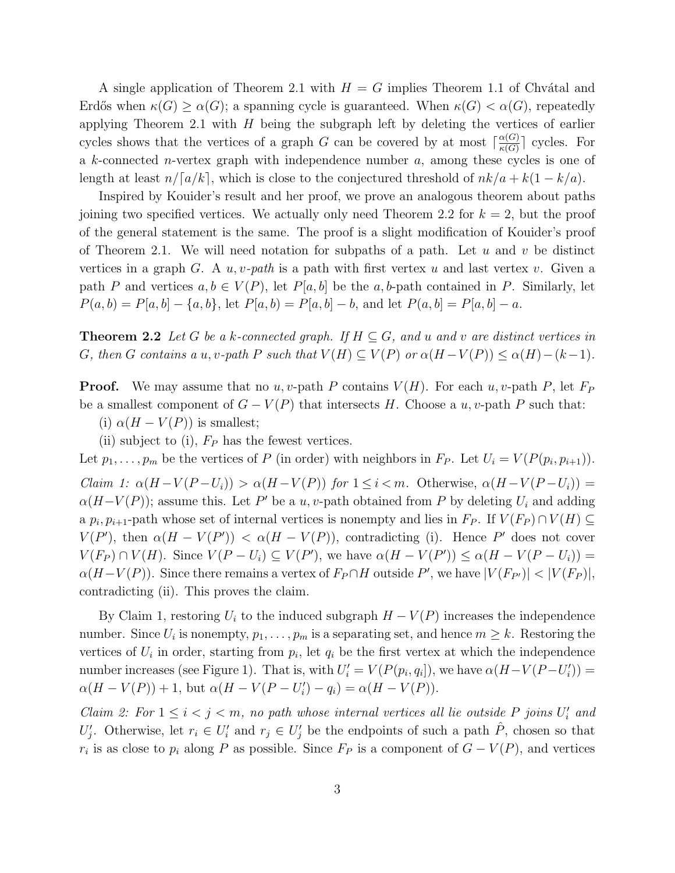A single application of Theorem 2.1 with  $H = G$  implies Theorem 1.1 of Chvátal and Erdős when  $\kappa(G) \geq \alpha(G)$ ; a spanning cycle is guaranteed. When  $\kappa(G) < \alpha(G)$ , repeatedly applying Theorem 2.1 with  $H$  being the subgraph left by deleting the vertices of earlier cycles shows that the vertices of a graph G can be covered by at most  $\lceil \frac{\alpha(G)}{\kappa(G)} \rceil$  $\frac{\alpha(G)}{\kappa(G)}$  cycles. For a k-connected n-vertex graph with independence number a, among these cycles is one of length at least  $n/[a/k]$ , which is close to the conjectured threshold of  $nk/a + k(1 - k/a)$ .

Inspired by Kouider's result and her proof, we prove an analogous theorem about paths joining two specified vertices. We actually only need Theorem 2.2 for  $k = 2$ , but the proof of the general statement is the same. The proof is a slight modification of Kouider's proof of Theorem 2.1. We will need notation for subpaths of a path. Let  $u$  and  $v$  be distinct vertices in a graph  $G$ . A  $u, v$ -path is a path with first vertex  $u$  and last vertex  $v$ . Given a path P and vertices  $a, b \in V(P)$ , let  $P[a, b]$  be the a, b-path contained in P. Similarly, let  $P(a,b) = P[a,b] - \{a,b\}$ , let  $P[a,b) = P[a,b] - b$ , and let  $P(a,b) = P[a,b] - a$ .

**Theorem 2.2** Let G be a k-connected graph. If  $H \subseteq G$ , and u and v are distinct vertices in G, then G contains a u, v-path P such that  $V(H) \subseteq V(P)$  or  $\alpha(H - V(P)) \leq \alpha(H) - (k-1)$ .

**Proof.** We may assume that no u, v-path P contains  $V(H)$ . For each u, v-path P, let  $F_P$ be a smallest component of  $G - V(P)$  that intersects H. Choose a u, v-path P such that:

- (i)  $\alpha(H V(P))$  is smallest;
- (ii) subject to (i),  $F_P$  has the fewest vertices.

Let  $p_1, \ldots, p_m$  be the vertices of P (in order) with neighbors in  $F_P$ . Let  $U_i = V(P(p_i, p_{i+1}))$ . *Claim 1:*  $\alpha(H-V(P-U_i)) > \alpha(H-V(P))$  *for*  $1 \leq i < m$ . Otherwise,  $\alpha(H-V(P-U_i))$  $\alpha(H-V(P))$ ; assume this. Let P' be a u, v-path obtained from P by deleting  $U_i$  and adding a  $p_i, p_{i+1}$ -path whose set of internal vertices is nonempty and lies in  $F_P$ . If  $V(F_P) \cap V(H) \subseteq$  $V(P')$ , then  $\alpha(H - V(P')) < \alpha(H - V(P))$ , contradicting (i). Hence P' does not cover  $V(F_P) \cap V(H)$ . Since  $V(P-U_i) \subseteq V(P')$ , we have  $\alpha(H-V(P')) \leq \alpha(H-V(P-U_i))$  =  $\alpha(H-V(P))$ . Since there remains a vertex of  $F_P \cap H$  outside P', we have  $|V(F_{P'})| < |V(F_P)|$ , contradicting (ii). This proves the claim.

By Claim 1, restoring  $U_i$  to the induced subgraph  $H - V(P)$  increases the independence number. Since  $U_i$  is nonempty,  $p_1, \ldots, p_m$  is a separating set, and hence  $m \geq k$ . Restoring the vertices of  $U_i$  in order, starting from  $p_i$ , let  $q_i$  be the first vertex at which the independence number increases (see Figure 1). That is, with  $U_i' = V(P(p_i, q_i])$ , we have  $\alpha(H - V(P - U_i')) =$  $\alpha(H - V(P)) + 1$ , but  $\alpha(H - V(P - U_i') - q_i) = \alpha(H - V(P)).$ 

*Claim 2:* For  $1 \leq i < j < m$ , no path whose internal vertices all lie outside P joins  $U_i'$  and  $U'_j$ . Otherwise, let  $r_i \in U'_i$  and  $r_j \in U'_j$  be the endpoints of such a path  $\hat{P}$ , chosen so that  $r_i$  is as close to  $p_i$  along P as possible. Since  $F_P$  is a component of  $G - V(P)$ , and vertices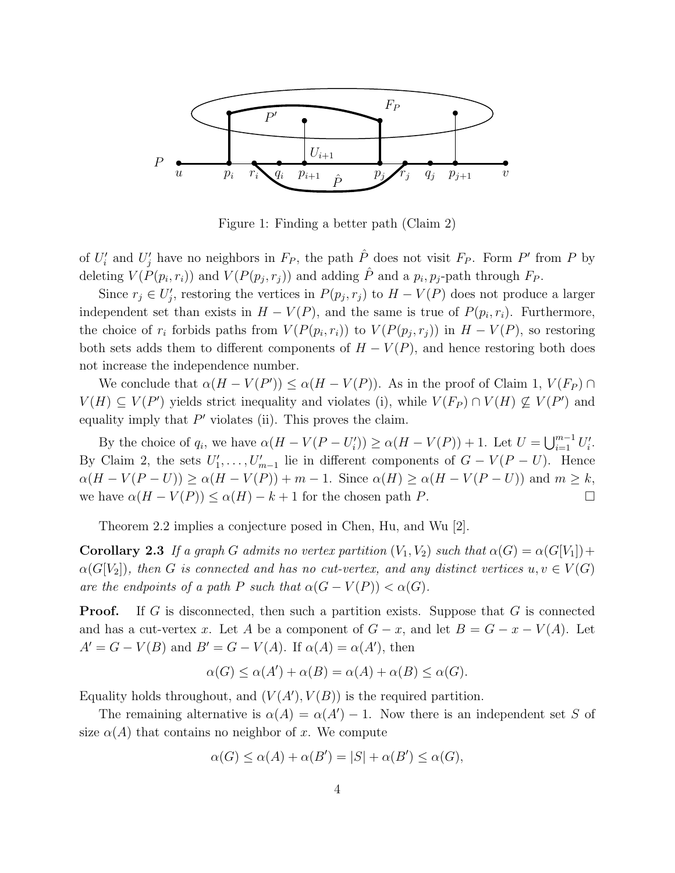

Figure 1: Finding a better path (Claim 2)

of  $U_i'$  and  $U_j'$  have no neighbors in  $F_P$ , the path  $\hat{P}$  does not visit  $F_P$ . Form  $P'$  from  $P$  by deleting  $V(P(p_i, r_i))$  and  $V(P(p_j, r_j))$  and adding  $\hat{P}$  and a  $p_i, p_j$ -path through  $F_P$ .

Since  $r_j \in U'_j$ , restoring the vertices in  $P(p_j, r_j)$  to  $H - V(P)$  does not produce a larger independent set than exists in  $H - V(P)$ , and the same is true of  $P(p_i, r_i)$ . Furthermore, the choice of  $r_i$  forbids paths from  $V(P(p_i, r_i))$  to  $V(P(p_j, r_j))$  in  $H - V(P)$ , so restoring both sets adds them to different components of  $H - V(P)$ , and hence restoring both does not increase the independence number.

We conclude that  $\alpha(H - V(P')) \leq \alpha(H - V(P))$ . As in the proof of Claim 1,  $V(F_P) \cap$  $V(H) \subseteq V(P')$  yields strict inequality and violates (i), while  $V(F_P) \cap V(H) \nsubseteq V(P')$  and equality imply that  $P'$  violates (ii). This proves the claim.

By the choice of  $q_i$ , we have  $\alpha(H - V(P - U'_i)) \ge \alpha(H - V(P)) + 1$ . Let  $U = \bigcup_{i=1}^{m-1} U'_i$ . By Claim 2, the sets  $U'_1, \ldots, U'_{m-1}$  lie in different components of  $G - V(P - U)$ . Hence  $\alpha(H - V(P - U)) \geq \alpha(H - V(P)) + m - 1$ . Since  $\alpha(H) \geq \alpha(H - V(P - U))$  and  $m \geq k$ , we have  $\alpha(H - V(P)) \leq \alpha(H) - k + 1$  for the chosen path P.

Theorem 2.2 implies a conjecture posed in Chen, Hu, and Wu [2].

**Corollary 2.3** If a graph G admits no vertex partition  $(V_1, V_2)$  such that  $\alpha(G) = \alpha(G[V_1])$  +  $\alpha(G[V_2])$ , then G is connected and has no cut-vertex, and any distinct vertices  $u, v \in V(G)$ *are the endpoints of a path* P *such that*  $\alpha(G - V(P)) < \alpha(G)$ *.* 

**Proof.** If G is disconnected, then such a partition exists. Suppose that G is connected and has a cut-vertex x. Let A be a component of  $G - x$ , and let  $B = G - x - V(A)$ . Let  $A' = G - V(B)$  and  $B' = G - V(A)$ . If  $\alpha(A) = \alpha(A')$ , then

$$
\alpha(G) \le \alpha(A') + \alpha(B) = \alpha(A) + \alpha(B) \le \alpha(G).
$$

Equality holds throughout, and  $(V(A'), V(B))$  is the required partition.

The remaining alternative is  $\alpha(A) = \alpha(A') - 1$ . Now there is an independent set S of size  $\alpha(A)$  that contains no neighbor of x. We compute

$$
\alpha(G) \le \alpha(A) + \alpha(B') = |S| + \alpha(B') \le \alpha(G),
$$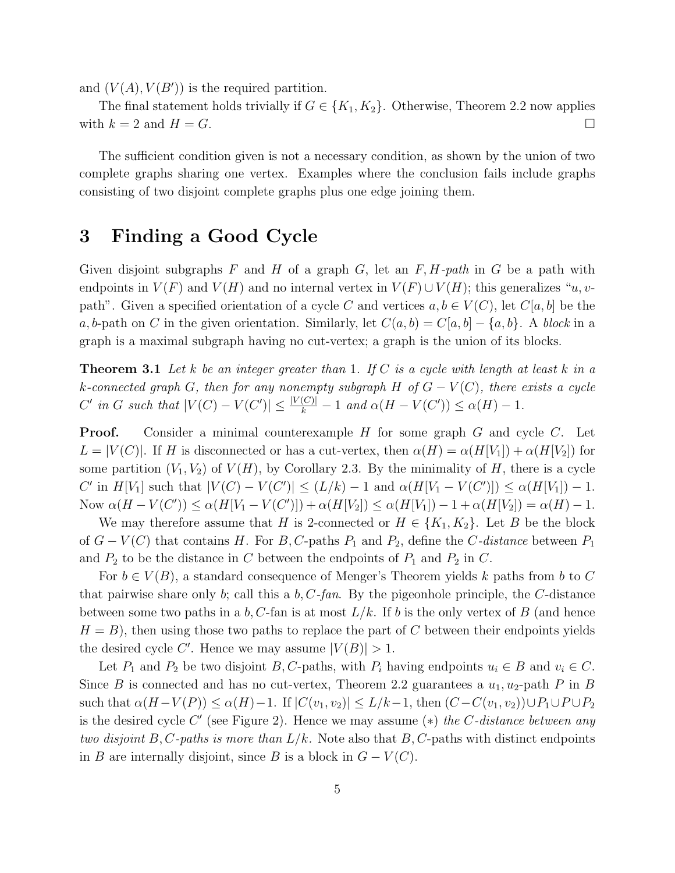and  $(V(A), V(B'))$  is the required partition.

The final statement holds trivially if  $G \in \{K_1, K_2\}$ . Otherwise, Theorem 2.2 now applies with  $k = 2$  and  $H = G$ .

The sufficient condition given is not a necessary condition, as shown by the union of two complete graphs sharing one vertex. Examples where the conclusion fails include graphs consisting of two disjoint complete graphs plus one edge joining them.

## 3 Finding a Good Cycle

Given disjoint subgraphs F and H of a graph G, let an F,H*-path* in G be a path with endpoints in  $V(F)$  and  $V(H)$  and no internal vertex in  $V(F) \cup V(H)$ ; this generalizes "u, vpath". Given a specified orientation of a cycle C and vertices  $a, b \in V(C)$ , let  $C[a, b]$  be the a, b-path on C in the given orientation. Similarly, let  $C(a, b) = C[a, b] - \{a, b\}$ . A *block* in a graph is a maximal subgraph having no cut-vertex; a graph is the union of its blocks.

Theorem 3.1 *Let* k *be an integer greater than* 1*. If* C *is a cycle with length at least* k *in a* k*-connected graph* G*, then for any nonempty subgraph* H *of* G − V (C)*, there exists a cycle*  $C'$  in  $G$  such that  $|V(C) - V(C')| \leq \frac{|V(C)|}{k} - 1$  and  $\alpha(H - V(C')) \leq \alpha(H) - 1$ .

**Proof.** Consider a minimal counterexample H for some graph G and cycle C. Let  $L = |V(C)|$ . If H is disconnected or has a cut-vertex, then  $\alpha(H) = \alpha(H[V_1]) + \alpha(H[V_2])$  for some partition  $(V_1, V_2)$  of  $V(H)$ , by Corollary 2.3. By the minimality of H, there is a cycle C' in  $H[V_1]$  such that  $|V(C) - V(C')| \le (L/k) - 1$  and  $\alpha(H[V_1 - V(C')]) \le \alpha(H[V_1]) - 1$ . Now  $\alpha(H - V(C')) \leq \alpha(H[V_1 - V(C')] + \alpha(H[V_2]) \leq \alpha(H[V_1]) - 1 + \alpha(H[V_2]) = \alpha(H) - 1.$ 

We may therefore assume that H is 2-connected or  $H \in \{K_1, K_2\}$ . Let B be the block of  $G - V(C)$  that contains H. For B, C-paths  $P_1$  and  $P_2$ , define the C-distance between  $P_1$ and  $P_2$  to be the distance in C between the endpoints of  $P_1$  and  $P_2$  in C.

For  $b \in V(B)$ , a standard consequence of Menger's Theorem yields k paths from b to C that pairwise share only b; call this a b,C*-fan*. By the pigeonhole principle, the C-distance between some two paths in a b, C-fan is at most  $L/k$ . If b is the only vertex of B (and hence  $H = B$ , then using those two paths to replace the part of C between their endpoints yields the desired cycle C'. Hence we may assume  $|V(B)| > 1$ .

Let  $P_1$  and  $P_2$  be two disjoint  $B, C$ -paths, with  $P_i$  having endpoints  $u_i \in B$  and  $v_i \in C$ . Since B is connected and has no cut-vertex, Theorem 2.2 guarantees a  $u_1, u_2$ -path P in B such that  $\alpha(H-V(P)) \leq \alpha(H)-1$ . If  $|C(v_1,v_2)| \leq L/k-1$ , then  $(C-C(v_1,v_2)) \cup P_1 \cup P \cup P_2$ is the desired cycle C ′ (see Figure 2). Hence we may assume (∗) *the* C*-distance between any two disjoint*  $B, C$ -paths is more than  $L/k$ . Note also that  $B, C$ -paths with distinct endpoints in B are internally disjoint, since B is a block in  $G - V(C)$ .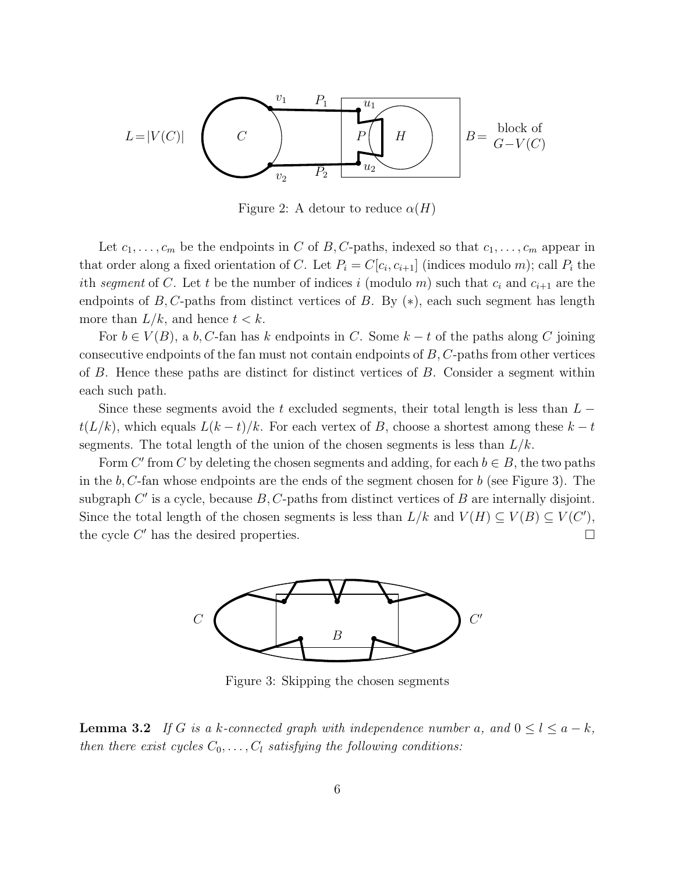

Figure 2: A detour to reduce  $\alpha(H)$ 

Let  $c_1,\ldots,c_m$  be the endpoints in C of B, C-paths, indexed so that  $c_1,\ldots,c_m$  appear in that order along a fixed orientation of C. Let  $P_i = C[c_i, c_{i+1}]$  (indices modulo m); call  $P_i$  the ith *segment* of C. Let t be the number of indices i (modulo m) such that  $c_i$  and  $c_{i+1}$  are the endpoints of B, C-paths from distinct vertices of B. By  $(*)$ , each such segment has length more than  $L/k$ , and hence  $t < k$ .

For  $b \in V(B)$ , a b, C-fan has k endpoints in C. Some  $k-t$  of the paths along C joining consecutive endpoints of the fan must not contain endpoints of  $B, C$ -paths from other vertices of B. Hence these paths are distinct for distinct vertices of B. Consider a segment within each such path.

Since these segments avoid the t excluded segments, their total length is less than  $L$  $t(L/k)$ , which equals  $L(k-t)/k$ . For each vertex of B, choose a shortest among these  $k-t$ segments. The total length of the union of the chosen segments is less than  $L/k$ .

Form C' from C by deleting the chosen segments and adding, for each  $b \in B$ , the two paths in the  $b, C$ -fan whose endpoints are the ends of the segment chosen for  $b$  (see Figure 3). The subgraph  $C'$  is a cycle, because  $B, C$ -paths from distinct vertices of  $B$  are internally disjoint. Since the total length of the chosen segments is less than  $L/k$  and  $V(H) \subseteq V(B) \subseteq V(C')$ , the cycle  $C'$  has the desired properties.  $\Box$ 



Figure 3: Skipping the chosen segments

**Lemma 3.2** *If* G *is a* k-connected graph with independence number a, and  $0 \le l \le a - k$ *, then there exist cycles*  $C_0, \ldots, C_l$  *satisfying the following conditions:*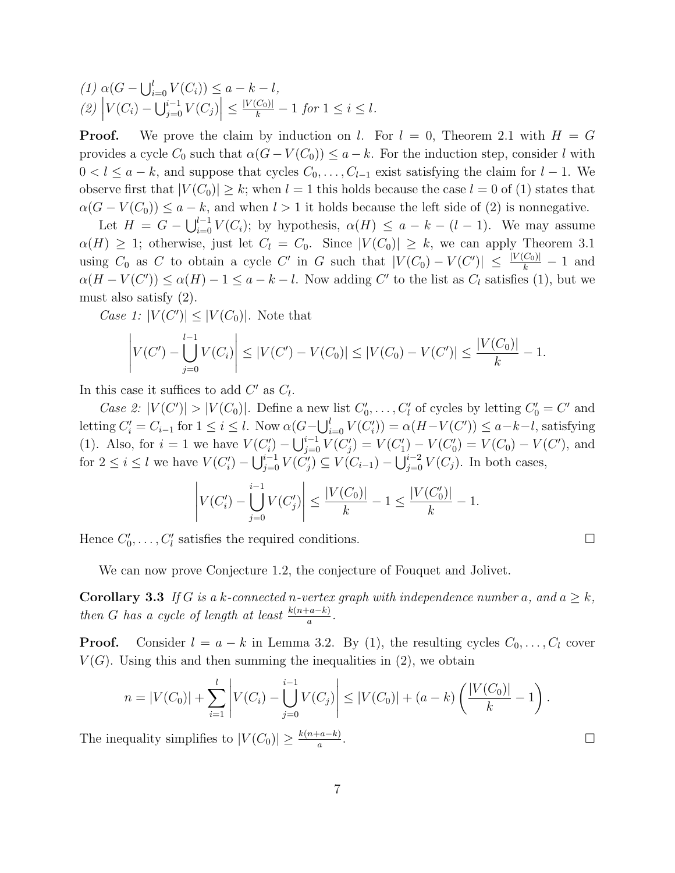$(1) \alpha(G - \bigcup_{i=0}^{l} V(C_i)) \leq a - k - l,$  $(2)$  $|V(C_i) - \bigcup_{j=0}^{i-1} V(C_j)| \leq \frac{|V(C_0)|}{k} - 1$  for  $1 \leq i \leq l$ .

**Proof.** We prove the claim by induction on l. For  $l = 0$ , Theorem 2.1 with  $H = G$ provides a cycle  $C_0$  such that  $\alpha(G - V(C_0)) \leq a - k$ . For the induction step, consider l with  $0 < l \le a - k$ , and suppose that cycles  $C_0, \ldots, C_{l-1}$  exist satisfying the claim for  $l - 1$ . We observe first that  $|V(C_0)| \geq k$ ; when  $l = 1$  this holds because the case  $l = 0$  of (1) states that  $\alpha(G - V(C_0)) \le a - k$ , and when  $l > 1$  it holds because the left side of (2) is nonnegative.

Let  $H = G - \bigcup_{i=0}^{l-1} V(C_i)$ ; by hypothesis,  $\alpha(H) \le a - k - (l-1)$ . We may assume  $\alpha(H) \geq 1$ ; otherwise, just let  $C_l = C_0$ . Since  $|V(C_0)| \geq k$ , we can apply Theorem 3.1 using  $C_0$  as C to obtain a cycle C' in G such that  $|V(C_0) - V(C')| \leq \frac{|V(C_0)|}{k} - 1$  and  $\alpha(H - V(C')) \leq \alpha(H) - 1 \leq a - k - l$ . Now adding C' to the list as  $C_l$  satisfies (1), but we must also satisfy (2).

Case 1:  $|V(C')| \leq |V(C_0)|$ . Note that

$$
\left| V(C') - \bigcup_{j=0}^{l-1} V(C_i) \right| \leq |V(C') - V(C_0)| \leq |V(C_0) - V(C')| \leq \frac{|V(C_0)|}{k} - 1.
$$

In this case it suffices to add  $C'$  as  $C_l$ .

*Case 2:*  $|V(C')| > |V(C_0)|$ . Define a new list  $C'_0, \ldots, C'_l$  of cycles by letting  $C'_0 = C'$  and letting  $C_i' = C_{i-1}$  for  $1 \le i \le l$ . Now  $\alpha(G - \bigcup_{i=0}^{l} V(C_i')) = \alpha(H - V(C')) \le a - k - l$ , satisfying (1). Also, for  $i = 1$  we have  $V(C_i') - \bigcup_{j=0}^{i-1} V(C_j') = V(C_1') - V(C_0') = V(C_0) - V(C')$ , and for  $2 \le i \le l$  we have  $V(C_i') - \bigcup_{j=0}^{i-1} V(C_j') \subseteq V(C_{i-1}) - \bigcup_{j=0}^{i-2} V(C_j)$ . In both cases,

$$
\left| V(C_i') - \bigcup_{j=0}^{i-1} V(C_j') \right| \le \frac{|V(C_0)|}{k} - 1 \le \frac{|V(C_0')|}{k} - 1.
$$

Hence  $C'_0, \ldots, C'_l$  satisfies the required conditions.

We can now prove Conjecture 1.2, the conjecture of Fouquet and Jolivet.

**Corollary 3.3** *If* G *is a* k-connected n-vertex graph with independence number a, and  $a \geq k$ , *then G has a cycle of length at least*  $\frac{k(n+a-k)}{a}$ .

**Proof.** Consider  $l = a - k$  in Lemma 3.2. By (1), the resulting cycles  $C_0, \ldots, C_l$  cover  $V(G)$ . Using this and then summing the inequalities in (2), we obtain

$$
n = |V(C_0)| + \sum_{i=1}^l \left| V(C_i) - \bigcup_{j=0}^{i-1} V(C_j) \right| \le |V(C_0)| + (a-k) \left( \frac{|V(C_0)|}{k} - 1 \right).
$$

The inequality simplifies to  $|V(C_0)| \geq \frac{k(n+a-k)}{a}$ .  $\Box$